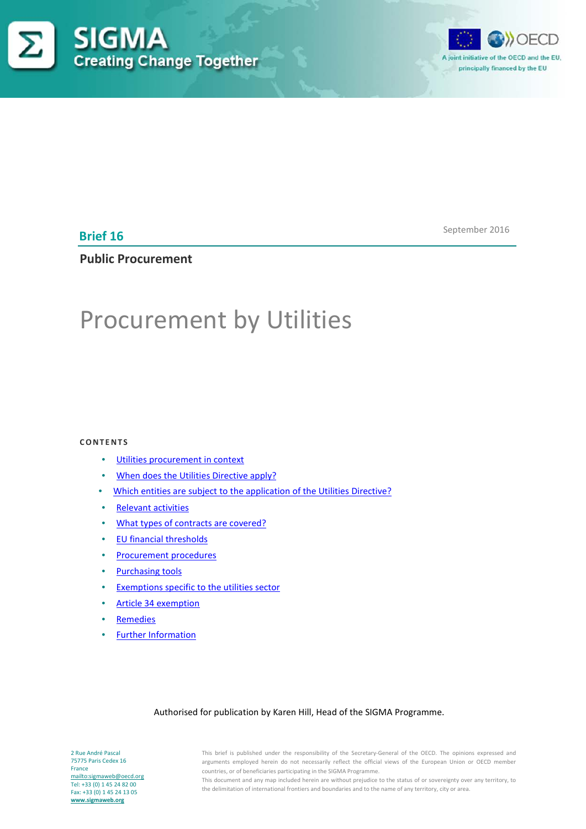



**Brief 16**

September 2016

# **Public Procurement**

# Procurement by Utilities

#### **CONTENTS**

- [Utilities procurement in context](#page-1-0)
- [When does the Utilities Directive apply?](#page-2-0)
- [Which entities are subject to the application of the Utilities Directive?](#page-2-1)
- [Relevant activities](#page-3-0)
- [What types of contracts are covered?](#page-4-0)
- [EU financial thresholds](#page-4-1)
- [Procurement procedures](#page-4-2)
- [Purchasing tools](#page-5-0)
- [Exemptions specific to the utilities sector](#page-6-0)
- [Article 34 exemption](#page-7-0)
- **[Remedies](#page-7-1)**
- [Further Information](#page-9-0)

#### Authorised for publication by Karen Hill, Head of the SIGMA Programme.

2 Rue André Pascal 75775 Paris Cedex 16 France <mailto:sigmaweb@oecd.org> Tel: +33 (0) 1 45 24 82 00 Fax: +33 (0) 1 45 24 13 05 **[www.sigmaweb.org](http://www.sigmaweb.org/)**

This brief is published under the responsibility of the Secretary-General of the OECD. The opinions expressed and arguments employed herein do not necessarily reflect the official views of the European Union or OECD member countries, or of beneficiaries participating in the SIGMA Programme.

This document and any map included herein are without prejudice to the status of or sovereignty over any territory, to the delimitation of international frontiers and boundaries and to the name of any territory, city or area.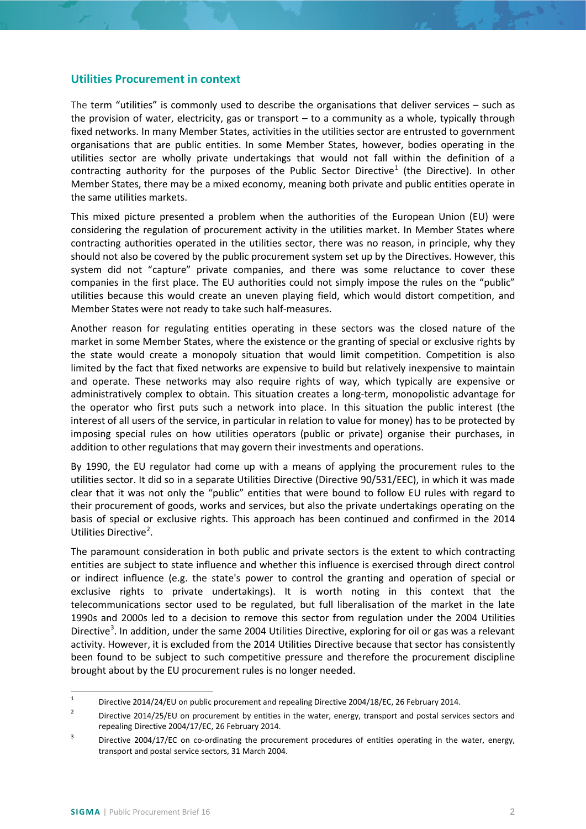#### <span id="page-1-0"></span>**Utilities Procurement in context**

The term "utilities" is commonly used to describe the organisations that deliver services – such as the provision of water, electricity, gas or transport – to a community as a whole, typically through fixed networks. In many Member States, activities in the utilities sector are entrusted to government organisations that are public entities. In some Member States, however, bodies operating in the utilities sector are wholly private undertakings that would not fall within the definition of a contracting authority for the purposes of the Public Sector Directive<sup>[1](#page-1-1)</sup> (the Directive). In other Member States, there may be a mixed economy, meaning both private and public entities operate in the same utilities markets.

This mixed picture presented a problem when the authorities of the European Union (EU) were considering the regulation of procurement activity in the utilities market. In Member States where contracting authorities operated in the utilities sector, there was no reason, in principle, why they should not also be covered by the public procurement system set up by the Directives. However, this system did not "capture" private companies, and there was some reluctance to cover these companies in the first place. The EU authorities could not simply impose the rules on the "public" utilities because this would create an uneven playing field, which would distort competition, and Member States were not ready to take such half-measures.

Another reason for regulating entities operating in these sectors was the closed nature of the market in some Member States, where the existence or the granting of special or exclusive rights by the state would create a monopoly situation that would limit competition. Competition is also limited by the fact that fixed networks are expensive to build but relatively inexpensive to maintain and operate. These networks may also require rights of way, which typically are expensive or administratively complex to obtain. This situation creates a long-term, monopolistic advantage for the operator who first puts such a network into place. In this situation the public interest (the interest of all users of the service, in particular in relation to value for money) has to be protected by imposing special rules on how utilities operators (public or private) organise their purchases, in addition to other regulations that may govern their investments and operations.

By 1990, the EU regulator had come up with a means of applying the procurement rules to the utilities sector. It did so in a separate Utilities Directive (Directive 90/531/EEC), in which it was made clear that it was not only the "public" entities that were bound to follow EU rules with regard to their procurement of goods, works and services, but also the private undertakings operating on the basis of special or exclusive rights. This approach has been continued and confirmed in the 2014 Utilities Directive<sup>[2](#page-1-2)</sup>.

The paramount consideration in both public and private sectors is the extent to which contracting entities are subject to state influence and whether this influence is exercised through direct control or indirect influence (e.g. the state's power to control the granting and operation of special or exclusive rights to private undertakings). It is worth noting in this context that the telecommunications sector used to be regulated, but full liberalisation of the market in the late 1990s and 2000s led to a decision to remove this sector from regulation under the 2004 Utilities Directive<sup>[3](#page-1-3)</sup>. In addition, under the same 2004 Utilities Directive, exploring for oil or gas was a relevant activity. However, it is excluded from the 2014 Utilities Directive because that sector has consistently been found to be subject to such competitive pressure and therefore the procurement discipline brought about by the EU procurement rules is no longer needed.

<span id="page-1-1"></span><sup>&</sup>lt;sup>1</sup> Directive 2014/24/EU on public procurement and repealing Directive 2004/18/EC, 26 February 2014.

<span id="page-1-2"></span><sup>&</sup>lt;sup>2</sup> Directive 2014/25/EU on procurement by entities in the water, energy, transport and postal services sectors and repealing Directive 2004/17/EC, 26 February 2014.

<span id="page-1-3"></span><sup>&</sup>lt;sup>3</sup> Directive 2004/17/EC on co-ordinating the procurement procedures of entities operating in the water, energy, transport and postal service sectors, 31 March 2004.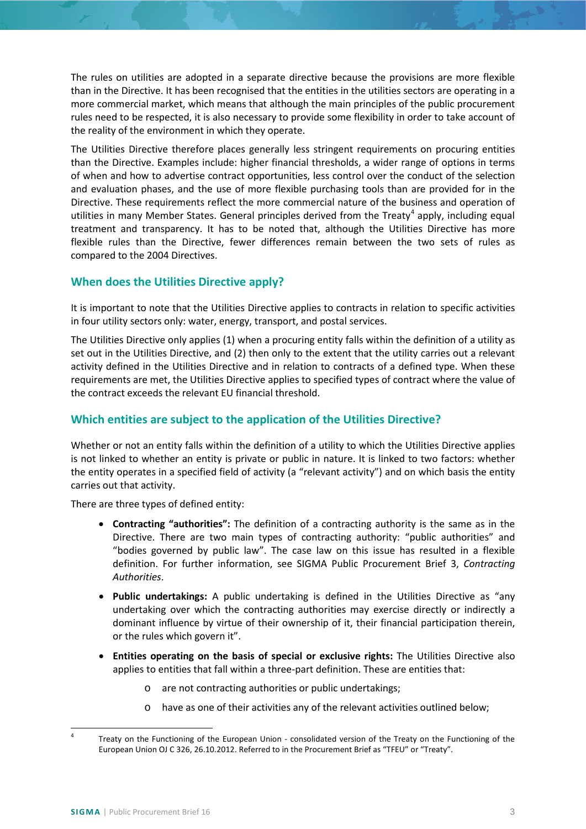The rules on utilities are adopted in a separate directive because the provisions are more flexible than in the Directive. It has been recognised that the entities in the utilities sectors are operating in a more commercial market, which means that although the main principles of the public procurement rules need to be respected, it is also necessary to provide some flexibility in order to take account of the reality of the environment in which they operate.

The Utilities Directive therefore places generally less stringent requirements on procuring entities than the Directive. Examples include: higher financial thresholds, a wider range of options in terms of when and how to advertise contract opportunities, less control over the conduct of the selection and evaluation phases, and the use of more flexible purchasing tools than are provided for in the Directive. These requirements reflect the more commercial nature of the business and operation of utilities in many Member States. General principles derived from the Treaty<sup>[4](#page-2-2)</sup> apply, including equal treatment and transparency. It has to be noted that, although the Utilities Directive has more flexible rules than the Directive, fewer differences remain between the two sets of rules as compared to the 2004 Directives.

# <span id="page-2-0"></span>**When does the Utilities Directive apply?**

It is important to note that the Utilities Directive applies to contracts in relation to specific activities in four utility sectors only: water, energy, transport, and postal services.

The Utilities Directive only applies (1) when a procuring entity falls within the definition of a utility as set out in the Utilities Directive, and (2) then only to the extent that the utility carries out a relevant activity defined in the Utilities Directive and in relation to contracts of a defined type. When these requirements are met, the Utilities Directive applies to specified types of contract where the value of the contract exceeds the relevant EU financial threshold.

# <span id="page-2-1"></span>**Which entities are subject to the application of the Utilities Directive?**

Whether or not an entity falls within the definition of a utility to which the Utilities Directive applies is not linked to whether an entity is private or public in nature. It is linked to two factors: whether the entity operates in a specified field of activity (a "relevant activity") and on which basis the entity carries out that activity.

There are three types of defined entity:

- **Contracting "authorities":** The definition of a contracting authority is the same as in the Directive. There are two main types of contracting authority: "public authorities" and "bodies governed by public law". The case law on this issue has resulted in a flexible definition. For further information, see SIGMA Public Procurement Brief 3, *Contracting Authorities*.
- **Public undertakings:** A public undertaking is defined in the Utilities Directive as "any undertaking over which the contracting authorities may exercise directly or indirectly a dominant influence by virtue of their ownership of it, their financial participation therein, or the rules which govern it".
- **Entities operating on the basis of special or exclusive rights:** The Utilities Directive also applies to entities that fall within a three-part definition. These are entities that:
	- o are not contracting authorities or public undertakings;
	- o have as one of their activities any of the relevant activities outlined below;

<span id="page-2-2"></span>Treaty on the Functioning of the European Union - consolidated version of the Treaty on the Functioning of the European Union OJ C 326, 26.10.2012. Referred to in the Procurement Brief as "TFEU" or "Treaty".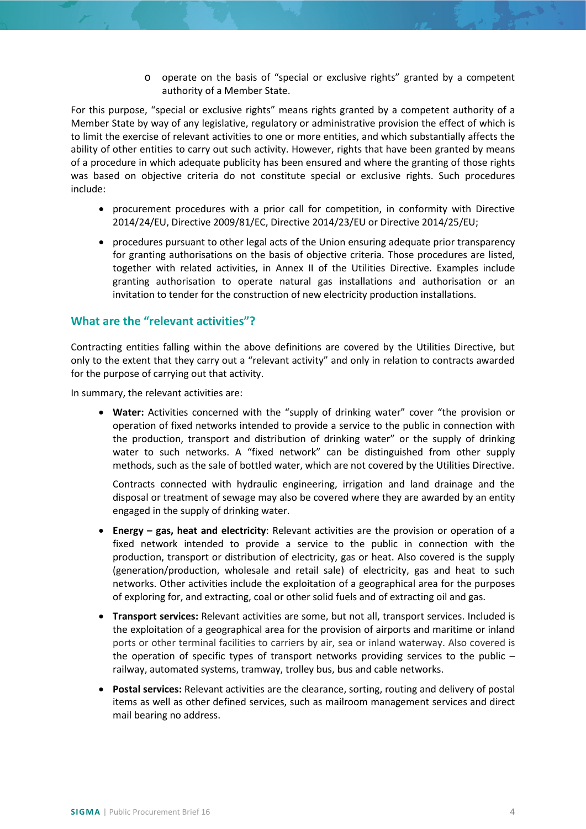o operate on the basis of "special or exclusive rights" granted by a competent authority of a Member State.

For this purpose, "special or exclusive rights" means rights granted by a competent authority of a Member State by way of any legislative, regulatory or administrative provision the effect of which is to limit the exercise of relevant activities to one or more entities, and which substantially affects the ability of other entities to carry out such activity. However, rights that have been granted by means of a procedure in which adequate publicity has been ensured and where the granting of those rights was based on objective criteria do not constitute special or exclusive rights. Such procedures include:

- procurement procedures with a prior call for competition, in conformity with Directive 2014/24/EU, Directive 2009/81/EC, Directive 2014/23/EU or Directive 2014/25/EU;
- procedures pursuant to other legal acts of the Union ensuring adequate prior transparency for granting authorisations on the basis of objective criteria. Those procedures are listed, together with related activities, in Annex II of the Utilities Directive. Examples include granting authorisation to operate natural gas installations and authorisation or an invitation to tender for the construction of new electricity production installations.

#### <span id="page-3-0"></span>**What are the "relevant activities"?**

Contracting entities falling within the above definitions are covered by the Utilities Directive, but only to the extent that they carry out a "relevant activity" and only in relation to contracts awarded for the purpose of carrying out that activity.

In summary, the relevant activities are:

• **Water:** Activities concerned with the "supply of drinking water" cover "the provision or operation of fixed networks intended to provide a service to the public in connection with the production, transport and distribution of drinking water" or the supply of drinking water to such networks. A "fixed network" can be distinguished from other supply methods, such as the sale of bottled water, which are not covered by the Utilities Directive.

Contracts connected with hydraulic engineering, irrigation and land drainage and the disposal or treatment of sewage may also be covered where they are awarded by an entity engaged in the supply of drinking water.

- **Energy – gas, heat and electricity**: Relevant activities are the provision or operation of a fixed network intended to provide a service to the public in connection with the production, transport or distribution of electricity, gas or heat. Also covered is the supply (generation/production, wholesale and retail sale) of electricity, gas and heat to such networks. Other activities include the exploitation of a geographical area for the purposes of exploring for, and extracting, coal or other solid fuels and of extracting oil and gas.
- **Transport services:** Relevant activities are some, but not all, transport services. Included is the exploitation of a geographical area for the provision of airports and maritime or inland ports or other terminal facilities to carriers by air, sea or inland waterway. Also covered is the operation of specific types of transport networks providing services to the public – railway, automated systems, tramway, trolley bus, bus and cable networks.
- **Postal services:** Relevant activities are the clearance, sorting, routing and delivery of postal items as well as other defined services, such as mailroom management services and direct mail bearing no address.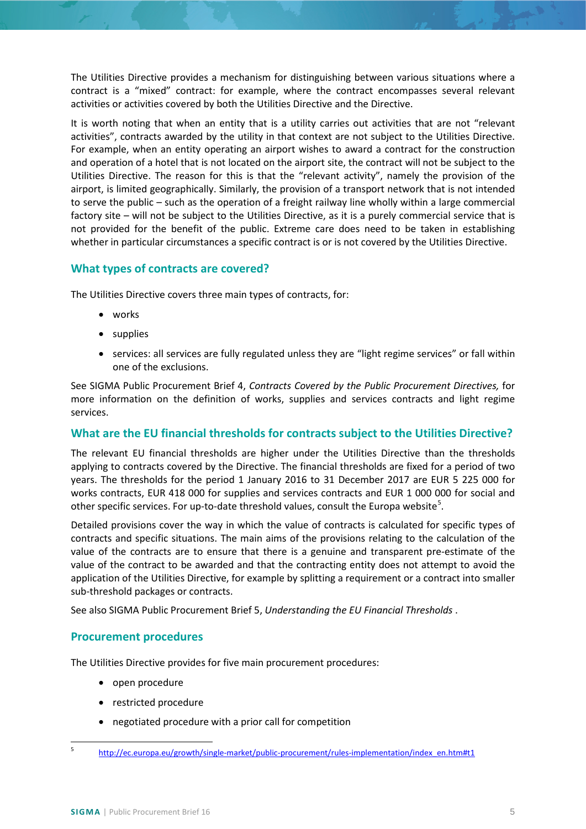The Utilities Directive provides a mechanism for distinguishing between various situations where a contract is a "mixed" contract: for example, where the contract encompasses several relevant activities or activities covered by both the Utilities Directive and the Directive.

It is worth noting that when an entity that is a utility carries out activities that are not "relevant activities", contracts awarded by the utility in that context are not subject to the Utilities Directive. For example, when an entity operating an airport wishes to award a contract for the construction and operation of a hotel that is not located on the airport site, the contract will not be subject to the Utilities Directive. The reason for this is that the "relevant activity", namely the provision of the airport, is limited geographically. Similarly, the provision of a transport network that is not intended to serve the public – such as the operation of a freight railway line wholly within a large commercial factory site – will not be subject to the Utilities Directive, as it is a purely commercial service that is not provided for the benefit of the public. Extreme care does need to be taken in establishing whether in particular circumstances a specific contract is or is not covered by the Utilities Directive.

# <span id="page-4-0"></span>**What types of contracts are covered?**

The Utilities Directive covers three main types of contracts, for:

- works
- **supplies**
- services: all services are fully regulated unless they are "light regime services" or fall within one of the exclusions.

See SIGMA Public Procurement Brief 4, *Contracts Covered by the Public Procurement Directives,* for more information on the definition of works, supplies and services contracts and light regime services.

## <span id="page-4-1"></span>**What are the EU financial thresholds for contracts subject to the Utilities Directive?**

The relevant EU financial thresholds are higher under the Utilities Directive than the thresholds applying to contracts covered by the Directive. The financial thresholds are fixed for a period of two years. The thresholds for the period 1 January 2016 to 31 December 2017 are EUR 5 225 000 for works contracts, EUR 418 000 for supplies and services contracts and EUR 1 000 000 for social and other specific services. For up-to-date threshold values, consult the Europa website<sup>[5](#page-4-3)</sup>.

Detailed provisions cover the way in which the value of contracts is calculated for specific types of contracts and specific situations. The main aims of the provisions relating to the calculation of the value of the contracts are to ensure that there is a genuine and transparent pre-estimate of the value of the contract to be awarded and that the contracting entity does not attempt to avoid the application of the Utilities Directive, for example by splitting a requirement or a contract into smaller sub-threshold packages or contracts.

See also SIGMA Public Procurement Brief 5, *Understanding the EU Financial Thresholds* .

## <span id="page-4-2"></span>**Procurement procedures**

The Utilities Directive provides for five main procurement procedures:

- open procedure
- restricted procedure
- negotiated procedure with a prior call for competition

<span id="page-4-3"></span><sup>5</sup> [http://ec.europa.eu/growth/single-market/public-procurement/rules-implementation/index\\_en.htm#t1](http://ec.europa.eu/growth/single-market/public-procurement/rules-implementation/index_en.htm#t1)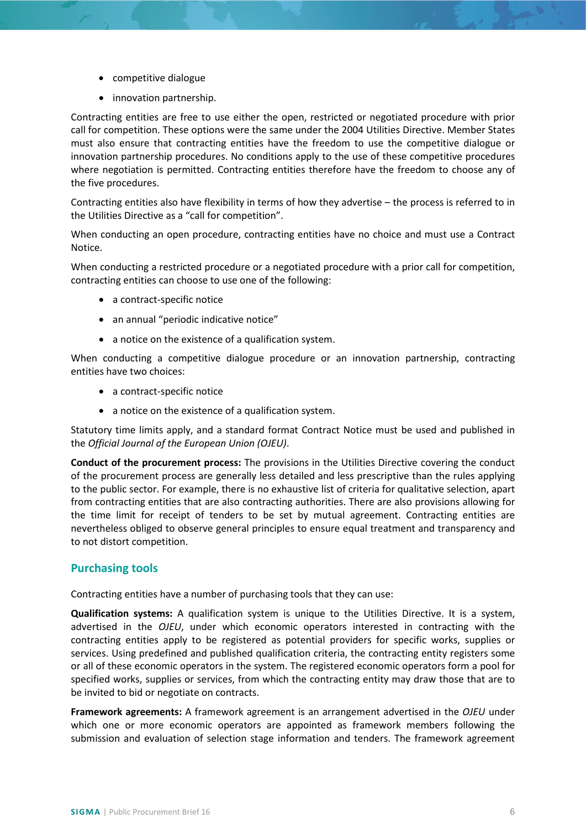- competitive dialogue
- innovation partnership.

Contracting entities are free to use either the open, restricted or negotiated procedure with prior call for competition. These options were the same under the 2004 Utilities Directive. Member States must also ensure that contracting entities have the freedom to use the competitive dialogue or innovation partnership procedures. No conditions apply to the use of these competitive procedures where negotiation is permitted. Contracting entities therefore have the freedom to choose any of the five procedures.

Contracting entities also have flexibility in terms of how they advertise – the process is referred to in the Utilities Directive as a "call for competition".

When conducting an open procedure, contracting entities have no choice and must use a Contract Notice.

When conducting a restricted procedure or a negotiated procedure with a prior call for competition, contracting entities can choose to use one of the following:

- a contract-specific notice
- an annual "periodic indicative notice"
- a notice on the existence of a qualification system.

When conducting a competitive dialogue procedure or an innovation partnership, contracting entities have two choices:

- a contract-specific notice
- a notice on the existence of a qualification system.

Statutory time limits apply, and a standard format Contract Notice must be used and published in the *Official Journal of the European Union (OJEU)*.

**Conduct of the procurement process:** The provisions in the Utilities Directive covering the conduct of the procurement process are generally less detailed and less prescriptive than the rules applying to the public sector. For example, there is no exhaustive list of criteria for qualitative selection, apart from contracting entities that are also contracting authorities. There are also provisions allowing for the time limit for receipt of tenders to be set by mutual agreement. Contracting entities are nevertheless obliged to observe general principles to ensure equal treatment and transparency and to not distort competition.

#### <span id="page-5-0"></span>**Purchasing tools**

Contracting entities have a number of purchasing tools that they can use:

**Qualification systems:** A qualification system is unique to the Utilities Directive. It is a system, advertised in the *OJEU*, under which economic operators interested in contracting with the contracting entities apply to be registered as potential providers for specific works, supplies or services. Using predefined and published qualification criteria, the contracting entity registers some or all of these economic operators in the system. The registered economic operators form a pool for specified works, supplies or services, from which the contracting entity may draw those that are to be invited to bid or negotiate on contracts.

**Framework agreements:** A framework agreement is an arrangement advertised in the *OJEU* under which one or more economic operators are appointed as framework members following the submission and evaluation of selection stage information and tenders. The framework agreement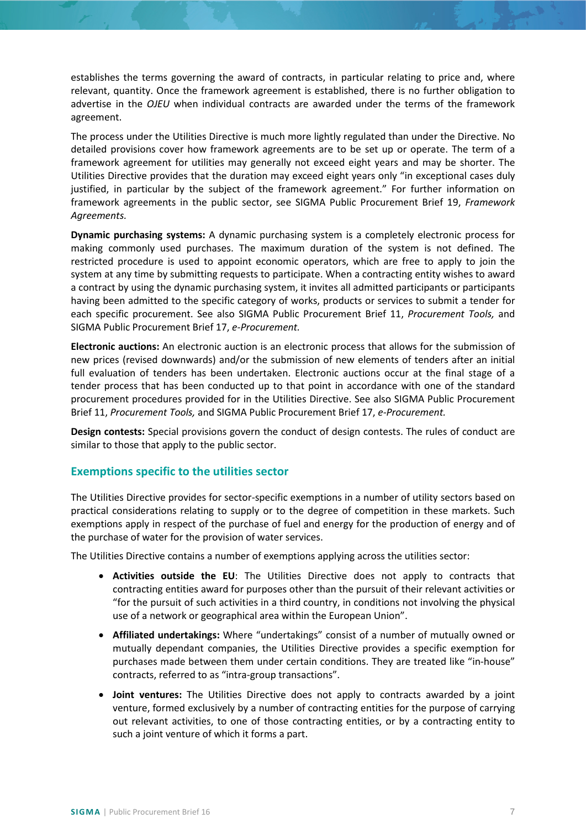establishes the terms governing the award of contracts, in particular relating to price and, where relevant, quantity. Once the framework agreement is established, there is no further obligation to advertise in the *OJEU* when individual contracts are awarded under the terms of the framework agreement.

The process under the Utilities Directive is much more lightly regulated than under the Directive. No detailed provisions cover how framework agreements are to be set up or operate. The term of a framework agreement for utilities may generally not exceed eight years and may be shorter. The Utilities Directive provides that the duration may exceed eight years only "in exceptional cases duly justified, in particular by the subject of the framework agreement." For further information on framework agreements in the public sector, see SIGMA Public Procurement Brief 19, *Framework Agreements.*

**Dynamic purchasing systems:** A dynamic purchasing system is a completely electronic process for making commonly used purchases. The maximum duration of the system is not defined. The restricted procedure is used to appoint economic operators, which are free to apply to join the system at any time by submitting requests to participate. When a contracting entity wishes to award a contract by using the dynamic purchasing system, it invites all admitted participants or participants having been admitted to the specific category of works, products or services to submit a tender for each specific procurement. See also SIGMA Public Procurement Brief 11, *Procurement Tools,* and SIGMA Public Procurement Brief 17, *e-Procurement.*

**Electronic auctions:** An electronic auction is an electronic process that allows for the submission of new prices (revised downwards) and/or the submission of new elements of tenders after an initial full evaluation of tenders has been undertaken. Electronic auctions occur at the final stage of a tender process that has been conducted up to that point in accordance with one of the standard procurement procedures provided for in the Utilities Directive. See also SIGMA Public Procurement Brief 11, *Procurement Tools,* and SIGMA Public Procurement Brief 17, *e-Procurement.*

**Design contests:** Special provisions govern the conduct of design contests. The rules of conduct are similar to those that apply to the public sector.

#### <span id="page-6-0"></span>**Exemptions specific to the utilities sector**

The Utilities Directive provides for sector-specific exemptions in a number of utility sectors based on practical considerations relating to supply or to the degree of competition in these markets. Such exemptions apply in respect of the purchase of fuel and energy for the production of energy and of the purchase of water for the provision of water services.

The Utilities Directive contains a number of exemptions applying across the utilities sector:

- **Activities outside the EU**: The Utilities Directive does not apply to contracts that contracting entities award for purposes other than the pursuit of their relevant activities or "for the pursuit of such activities in a third country, in conditions not involving the physical use of a network or geographical area within the European Union".
- **Affiliated undertakings:** Where "undertakings" consist of a number of mutually owned or mutually dependant companies, the Utilities Directive provides a specific exemption for purchases made between them under certain conditions. They are treated like "in-house" contracts, referred to as "intra-group transactions".
- **Joint ventures:** The Utilities Directive does not apply to contracts awarded by a joint venture, formed exclusively by a number of contracting entities for the purpose of carrying out relevant activities, to one of those contracting entities, or by a contracting entity to such a joint venture of which it forms a part.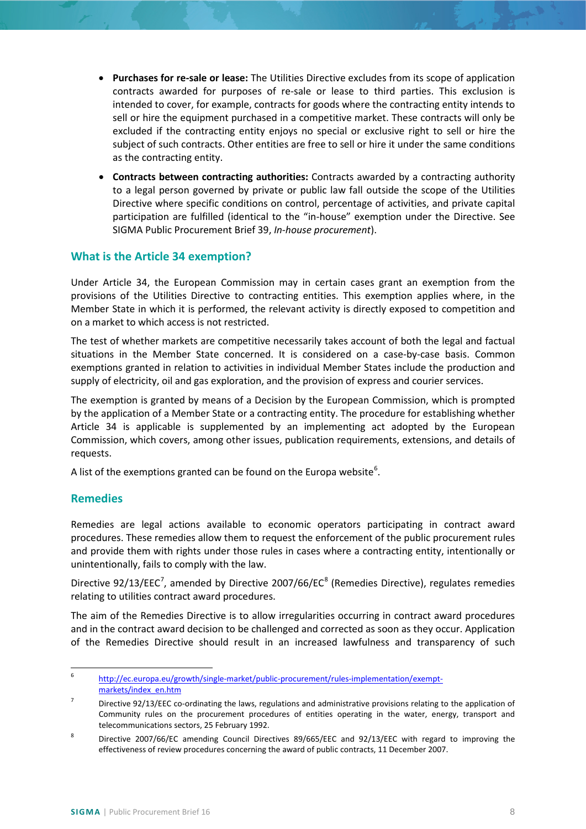- **Purchases for re-sale or lease:** The Utilities Directive excludes from its scope of application contracts awarded for purposes of re-sale or lease to third parties. This exclusion is intended to cover, for example, contracts for goods where the contracting entity intends to sell or hire the equipment purchased in a competitive market. These contracts will only be excluded if the contracting entity enjoys no special or exclusive right to sell or hire the subject of such contracts. Other entities are free to sell or hire it under the same conditions as the contracting entity.
- **Contracts between contracting authorities:** Contracts awarded by a contracting authority to a legal person governed by private or public law fall outside the scope of the Utilities Directive where specific conditions on control, percentage of activities, and private capital participation are fulfilled (identical to the "in-house" exemption under the Directive. See SIGMA Public Procurement Brief 39, *In-house procurement*).

# <span id="page-7-0"></span>**What is the Article 34 exemption?**

Under Article 34, the European Commission may in certain cases grant an exemption from the provisions of the Utilities Directive to contracting entities. This exemption applies where, in the Member State in which it is performed, the relevant activity is directly exposed to competition and on a market to which access is not restricted.

The test of whether markets are competitive necessarily takes account of both the legal and factual situations in the Member State concerned. It is considered on a case-by-case basis. Common exemptions granted in relation to activities in individual Member States include the production and supply of electricity, oil and gas exploration, and the provision of express and courier services.

The exemption is granted by means of a Decision by the European Commission, which is prompted by the application of a Member State or a contracting entity. The procedure for establishing whether Article 34 is applicable is supplemented by an implementing act adopted by the European Commission, which covers, among other issues, publication requirements, extensions, and details of requests.

A list of the exemptions granted can be found on the Europa website<sup>[6](#page-7-2)</sup>.

## <span id="page-7-1"></span>**Remedies**

Remedies are legal actions available to economic operators participating in contract award procedures. These remedies allow them to request the enforcement of the public procurement rules and provide them with rights under those rules in cases where a contracting entity, intentionally or unintentionally, fails to comply with the law.

Directive 92/13/EEC<sup>[7](#page-7-3)</sup>, amended by Directive 2007/66/EC<sup>[8](#page-7-4)</sup> (Remedies Directive), regulates remedies relating to utilities contract award procedures.

The aim of the Remedies Directive is to allow irregularities occurring in contract award procedures and in the contract award decision to be challenged and corrected as soon as they occur. Application of the Remedies Directive should result in an increased lawfulness and transparency of such

<span id="page-7-2"></span> <sup>6</sup> [http://ec.europa.eu/growth/single-market/public-procurement/rules-implementation/exempt](http://ec.europa.eu/growth/single-market/public-procurement/rules-implementation/exempt-markets/index_en.htm)[markets/index\\_en.htm](http://ec.europa.eu/growth/single-market/public-procurement/rules-implementation/exempt-markets/index_en.htm)

<span id="page-7-3"></span> $7$  Directive 92/13/EEC co-ordinating the laws, regulations and administrative provisions relating to the application of Community rules on the procurement procedures of entities operating in the water, energy, transport and telecommunications sectors, 25 February 1992.

<span id="page-7-4"></span><sup>&</sup>lt;sup>8</sup> Directive 2007/66/EC amending Council Directives 89/665/EEC and 92/13/EEC with regard to improving the effectiveness of review procedures concerning the award of public contracts, 11 December 2007.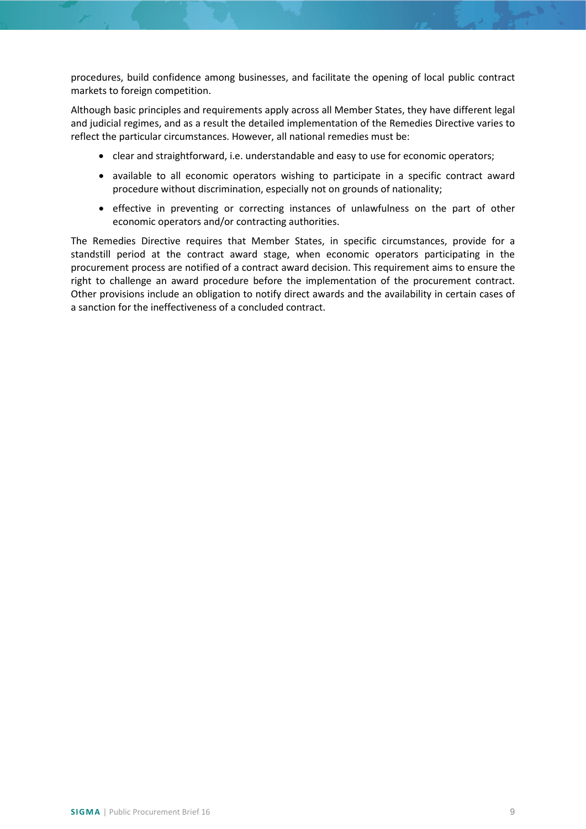procedures, build confidence among businesses, and facilitate the opening of local public contract markets to foreign competition.

Although basic principles and requirements apply across all Member States, they have different legal and judicial regimes, and as a result the detailed implementation of the Remedies Directive varies to reflect the particular circumstances. However, all national remedies must be:

- clear and straightforward, i.e. understandable and easy to use for economic operators;
- available to all economic operators wishing to participate in a specific contract award procedure without discrimination, especially not on grounds of nationality;
- effective in preventing or correcting instances of unlawfulness on the part of other economic operators and/or contracting authorities.

The Remedies Directive requires that Member States, in specific circumstances, provide for a standstill period at the contract award stage, when economic operators participating in the procurement process are notified of a contract award decision. This requirement aims to ensure the right to challenge an award procedure before the implementation of the procurement contract. Other provisions include an obligation to notify direct awards and the availability in certain cases of a sanction for the ineffectiveness of a concluded contract.